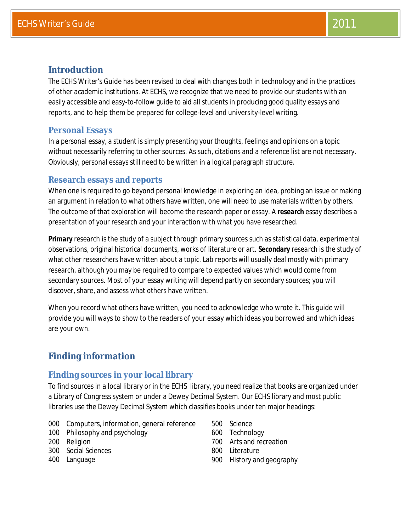# **Introduction**

The *ECHS Writer's Guide* has been revised to deal with changes both in technology and in the practices of other academic institutions. At ECHS, we recognize that we need to provide our students with an easily accessible and easy-to-follow guide to aid all students in producing good quality essays and reports, and to help them be prepared for college-level and university-level writing.

## **Personal Essays**

In a *personal* essay, a student is simply presenting your thoughts, feelings and opinions on a topic without necessarily referring to other sources. As such, citations and a reference list are not necessary. Obviously, personal essays still need to be written in a logical paragraph structure.

## **Research essays and reports**

When one is required to go beyond personal knowledge in exploring an idea, probing an issue or making an argument in relation to what others have written, one will need to use materials written by others. The outcome of that exploration will become the research paper or essay. A *research* essay describes a presentation of your research and your interaction with what you have researched.

*Primary research* is the study of a subject through primary sources such as statistical data, experimental observations, original historical documents, works of literature or art. *Secondary research* is the study of what other researchers have written about a topic. Lab reports will usually deal mostly with primary research, although you may be required to compare to expected values which would come from secondary sources. Most of your essay writing will depend partly on secondary sources; you will discover, share, and assess what others have written.

When you record what others have written, you need to acknowledge who wrote it. This guide will provide you will ways to show to the readers of your essay which ideas you borrowed and which ideas are your own.

# **Finding information**

## **Finding sources in your local library**

To find sources in a local library or in the ECHS library, you need realize that books are organized under a Library of Congress system or under a Dewey Decimal System. Our ECHS library and most public libraries use the Dewey Decimal System which classifies books under ten major headings:

- 000 Computers, information, general reference
- 100 Philosophy and psychology
- 200 Religion
- 300 Social Sciences
- 400 Language
- 500 Science
- 600 Technology
- 700 Arts and recreation
- 800 Literature
- 900 History and geography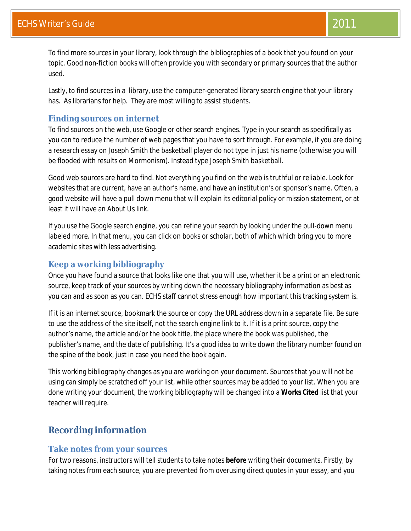To find more sources in your library, look through the bibliographies of a book that you found on your topic. Good non-fiction books will often provide you with secondary or primary sources that the author used.

Lastly, to find sources in a library, use the computer-generated library search engine that your library has. As librarians for help. They are most willing to assist students.

## **Finding sources on internet**

To find sources on the web, use Google or other search engines. Type in your search as specifically as you can to reduce the number of web pages that you have to sort through. For example, if you are doing a research essay on Joseph Smith the basketball player do not type in just his name (otherwise you will be flooded with results on Mormonism). Instead type *Joseph Smith basketball.*

Good web sources are hard to find. Not everything you find on the web is truthful or reliable. Look for websites that are current, have an author's name, and have an institution's or sponsor's name. Often, a good website will have a pull down menu that will explain its editorial policy or mission statement, or at least it will have an *About Us* link.

If you use the Google search engine, you can refine your search by looking under the pull-down menu labeled *more.* In that menu, you can click on *books* or *scholar*, both of which which bring you to more academic sites with less advertising.

## **Keep a working bibliography**

Once you have found a source that looks like one that you will use, whether it be a print or an electronic source, keep track of your sources by writing down the necessary bibliography information as best as you can and as soon as you can. ECHS staff cannot stress enough how important this tracking system is.

If it is an internet source, bookmark the source or copy the URL address down in a separate file. Be sure to use the address of the site itself, not the search engine link to it. If it is a print source, copy the author's name, the article and/or the book title, the place where the book was published, the publisher's name, and the date of publishing. It's a good idea to write down the library number found on the spine of the book, just in case you need the book again.

This working bibliography changes as you are working on your document. Sources that you will not be using can simply be scratched off your list, while other sources may be added to your list. When you are done writing your document, the working bibliography will be changed into a **Works Cited** list that your teacher will require.

# **Recording information**

### **Take notes from your sources**

For two reasons, instructors will tell students to take notes **before** writing their documents. Firstly, by taking notes from each source, you are prevented from overusing direct quotes in your essay, and you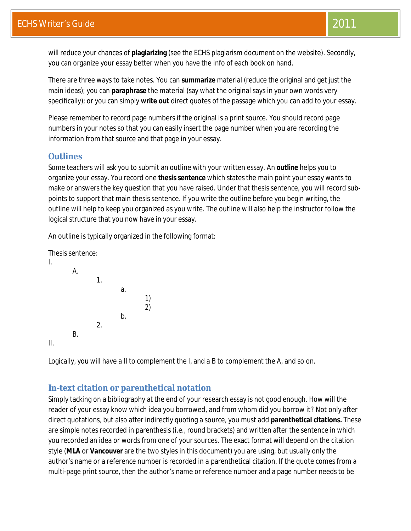will reduce your chances of **plagiarizing** (see the ECHS plagiarism document on the website). Secondly, you can organize your essay better when you have the info of each book on hand.

There are three ways to take notes. You can **summarize** material (reduce the original and get just the main ideas); you can **paraphrase** the material (say what the original says in your own words very specifically); or you can simply **write out** direct quotes of the passage which you can add to your essay.

Please remember to record page numbers if the original is a print source. You should record page numbers in your notes so that you can easily insert the page number when you are recording the information from that source and that page in your essay.

# **Outlines**

Some teachers will ask you to submit an outline with your written essay. An *outline* helps you to organize your essay. You record one **thesis sentence** which states the main point your essay wants to make or answers the key question that you have raised. Under that thesis sentence, you will record subpoints to support that main thesis sentence. If you write the outline before you begin writing, the outline will help to keep you organized as you write. The outline will also help the instructor follow the logical structure that you now have in your essay.

An outline is typically organized in the following format:



Logically, you will have a *II* to complement the *I*, and a *B* to complement the *A,* and so on.

# **In-text citation or parenthetical notation**

Simply tacking on a bibliography at the end of your research essay is not good enough. How will the reader of your essay know which idea you borrowed, and from whom did you borrow it? Not only after direct quotations, but also after indirectly quoting a source, you must add **parenthetical citations.** These are simple notes recorded in parenthesis (i.e., round brackets) and written after the sentence in which you recorded an idea or words from one of your sources. The exact format will depend on the citation style (*MLA* or *Vancouver* are the two styles in this document) you are using, but usually only the author's name or a reference number is recorded in a parenthetical citation. If the quote comes from a multi-page print source, then the author's name or reference number and a page number needs to be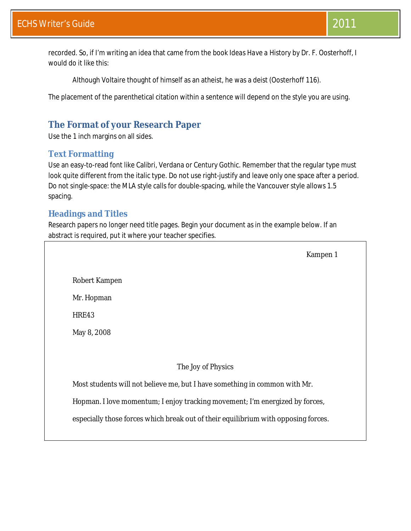recorded. So, if I'm writing an idea that came from the book *Ideas Have a History* by Dr. F. Oosterhoff, I would do it like this:

Although Voltaire thought of himself as an atheist, he was a deist (Oosterhoff 116).

The placement of the parenthetical citation within a sentence will depend on the style you are using.

# **The Format of your Research Paper**

Use the 1 inch margins on all sides.

# **Text Formatting**

Use an easy-to-read font like Calibri, Verdana or Century Gothic. Remember that the regular type must look quite different from the italic type. Do not use right-justify and leave only one space after a period. Do not single-space: the MLA style calls for double-spacing, while the Vancouver style allows 1.5 spacing.

## **Headings and Titles**

Research papers no longer need title pages. Begin your document as in the example below. If an abstract is required, put it where your teacher specifies.

Kampen 1

Robert Kampen

Mr. Hopman

HRE43

May 8, 2008

The Joy of Physics

Most students will not believe me, but I have something in common with Mr.

Hopman. I love momentum; I enjoy tracking movement; I'm energized by forces,

especially those forces which break out of their equilibrium with opposing forces.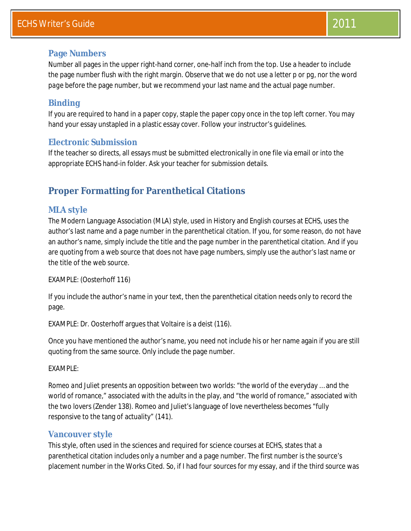# ECHS Writer's Guide 2011 **2011**

### **Page Numbers**

Number all pages in the upper right-hand corner, one-half inch from the top. Use a header to include the page number flush with the right margin. Observe that we do not use a letter *p* or *pg,* nor the word *page* before the page number, but we recommend your last name and the actual page number.

### **Binding**

If you are required to hand in a paper copy, staple the paper copy once in the top left corner. You may hand your essay unstapled in a plastic essay cover. Follow your instructor's guidelines.

### **Electronic Submission**

If the teacher so directs, all essays must be submitted electronically in one file via email or into the appropriate ECHS hand-in folder. Ask your teacher for submission details.

# **Proper Formatting for Parenthetical Citations**

### **MLA style**

The Modern Language Association (MLA) style, used in History and English courses at ECHS, uses the author's last name and a page number in the parenthetical citation. If you, for some reason, do not have an author's name, simply include the title and the page number in the parenthetical citation. And if you are quoting from a web source that does not have page numbers, simply use the author's last name or the title of the web source.

EXAMPLE: (Oosterhoff 116)

If you include the author's name in your text, then the parenthetical citation needs only to record the page.

EXAMPLE: Dr. Oosterhoff argues that Voltaire is a deist (116).

Once you have mentioned the author's name, you need not include his or her name again if you are still quoting from the same source. Only include the page number.

EXAMPLE:

*Romeo and Juliet* presents an opposition between two worlds: "the world of the everyday … and the world of romance," associated with the adults in the play, and "the world of romance," associated with the two lovers (Zender 138). Romeo and Juliet's language of love nevertheless becomes "fully responsive to the tang of actuality" (141).

### **Vancouver style**

This style, often used in the sciences and required for science courses at ECHS, states that a parenthetical citation includes only a number and a page number. The first number is the source's placement number in the Works Cited. So, if I had four sources for my essay, and if the third source was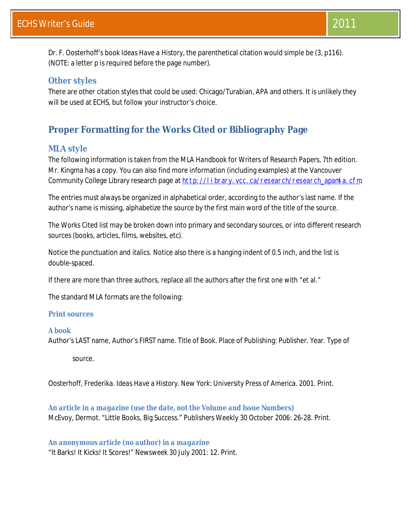Dr. F. Oosterhoff's book *Ideas Have a History,* the parenthetical citation would simple be (3, p116). (NOTE: a letter *p* is required before the page number).

## **Other styles**

There are other citation styles that could be used: Chicago/Turabian, APA and others. It is unlikely they will be used at ECHS, but follow your instructor's choice.

# **Proper Formatting for the Works Cited or Bibliography Page**

## **MLA style**

The following information is taken from the *MLA Handbook for Writers of Research Papers, 7th edition*. Mr. Kingma has a copy. You can also find more information (including examples) at the Vancouver Community College Library research page at http://library.vcc.ca/research/research\_apamla.cfm.

The entries must always be organized in alphabetical order, according to the author's last name. If the author's name is missing, alphabetize the source by the first main word of the title of the source.

The Works Cited list may be broken down into primary and secondary sources, or into different research sources (books, articles, films, websites, etc).

Notice the punctuation and italics. Notice also there is a hanging indent of 0.5 inch, and the list is double-spaced.

If there are more than three authors, replace all the authors after the first one with "et al."

The standard MLA formats are the following:

#### **Print sources**

#### *A book*

Author's LAST name, Author's FIRST name. *Title of Book.* Place of Publishing: Publisher. Year. Type of

source.

Oosterhoff, Frederika. *Ideas Have a History*. New York: University Press of America. 2001. Print.

*An article in a magazine (use the date, not the Volume and Issue Numbers)* McEvoy, Dermot. "Little Books, Big Success." *Publisher*s Weekly 30 October 2006: 26-28. Print.

#### *An anonymous article (no author) in a magazine*

"It Barks! It Kicks! It Scores!" *Newsweek* 30 July 2001: 12. Print.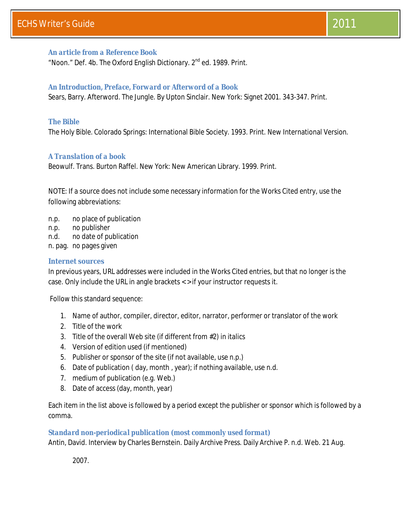#### *An article from a Reference Book*

"Noon." Def. 4b. The Oxford English Dictionary. 2<sup>nd</sup> ed. 1989. Print.

#### *An Introduction, Preface, Forward or Afterword of a Book*

Sears, Barry. Afterword. *The Jungle.* By Upton Sinclair. New York: Signet 2001. 343-347. Print.

#### *The Bible*

*The Holy Bible.* Colorado Springs: International Bible Society. 1993. Print. New International Version.

#### *A Translation of a book*

*Beowulf*. Trans. Burton Raffel. New York: New American Library. 1999. Print.

NOTE: If a source does not include some necessary information for the Works Cited entry, use the following abbreviations:

- n.p. no place of publication
- n.p. no publisher
- n.d. no date of publication
- n. pag. no pages given

#### **Internet sources**

In previous years, URL addresses were included in the Works Cited entries, but that no longer is the case. Only include the URL in angle brackets < > if your instructor requests it.

Follow this standard sequence:

- 1. Name of author, compiler, director, editor, narrator, performer or translator of the work
- 2. Title of the work
- 3. Title of the overall Web site (if different from #2) in *italics*
- 4. Version of edition used (if mentioned)
- 5. Publisher or sponsor of the site (if not available, use *n.p*.)
- 6. Date of publication ( day, month , year); if nothing available, use *n.d*.
- 7. medium of publication (e.g. Web.)
- 8. Date of access (day, month, year)

Each item in the list above is followed by a period except the publisher or sponsor which is followed by a comma.

#### *Standard non-periodical publication (most commonly used format)*

Antin, David. Interview by Charles Bernstein. *Daily Archive Press.* Daily Archive P. n.d. Web. 21 Aug.

2007.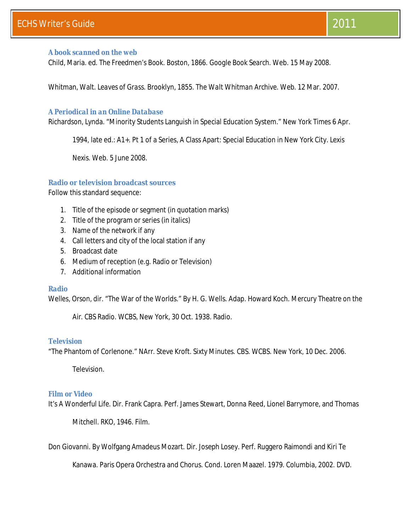#### *A book scanned on the web*

Child, Maria. ed. *The Freedmen's Book.* Boston, 1866. *Google Book Search.* Web. 15 May 2008.

Whitman, Walt. *Leaves of Grass.* Brooklyn, 1855. *The Walt Whitman Archive.* Web. 12 Mar. 2007.

#### *A Periodical in an Online Database*

Richardson, Lynda. "Minority Students Languish in Special Education System." *New York Times* 6 Apr.

1994, late ed.: A1+. Pt 1 of a Series, A Class Apart: Special Education in New York City. *Lexis* 

*Nexis.* Web. 5 June 2008.

#### **Radio or television broadcast sources**

Follow this standard sequence:

- 1. Title of the episode or segment (in quotation marks)
- 2. Title of the program or series (in italics)
- 3. Name of the network if any
- 4. Call letters and city of the local station if any
- 5. Broadcast date
- 6. Medium of reception (e.g. Radio or Television)
- 7. Additional information

#### *Radio*

Welles, Orson, dir. "The War of the Worlds." By H. G. Wells. Adap. Howard Koch. *Mercury Theatre on the* 

*Air.* CBS Radio. WCBS, New York, 30 Oct. 1938. Radio.

#### *Television*

"The Phantom of Corlenone." NArr. Steve Kroft. *Sixty Minutes.* CBS. WCBS. New York, 10 Dec. 2006.

Television.

#### *Film or Video*

*It's A Wonderful Life.* Dir. Frank Capra. Perf. James Stewart, Donna Reed, Lionel Barrymore, and Thomas

Mitchell. RKO, 1946. Film.

*Don Giovanni.* By Wolfgang Amadeus Mozart. Dir. Joseph Losey. Perf. Ruggero Raimondi and Kiri Te

Kanawa. Paris Opera Orchestra and Chorus. Cond. Loren Maazel. 1979. Columbia, 2002. DVD.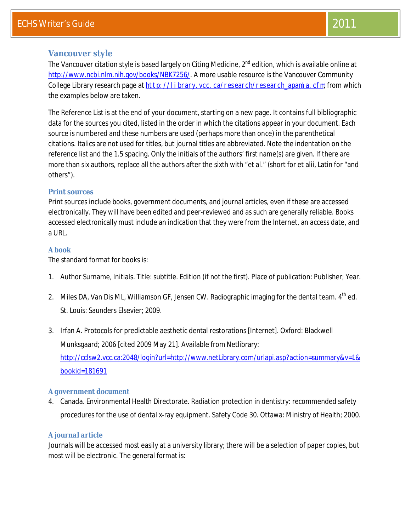## **Vancouver style**

The Vancouver citation style is based largely on *Citing Medicine, 2nd edition*, which is available online at http://www.ncbi.nlm.nih.gov/books/NBK7256/. A more usable resource is the Vancouver Community College Library research page at http://library.vcc.ca/research/research\_apamla.cfm, from which the examples below are taken.

The Reference List is at the end of your document, starting on a new page. It contains full bibliographic data for the sources you cited, listed in the order in which the citations appear in your document. Each source is numbered and these numbers are used (perhaps more than once) in the parenthetical citations. Italics are not used for titles, but journal titles are abbreviated. Note the indentation on the reference list and the 1.5 spacing. Only the initials of the authors' first name(s) are given. If there are more than six authors, replace all the authors after the sixth with "et al." (short for et alii, Latin for "and others").

#### **Print sources**

Print sources include books, government documents, and journal articles, even if these are accessed electronically. They will have been edited and peer-reviewed and as such are generally reliable. Books accessed electronically must include an indication that they were from the Internet, an access date, and a URL.

#### *A book*

The standard format for books is:

- 1. Author Surname, Initials. Title: subtitle. Edition (if not the first). Place of publication: Publisher; Year.
- 2. Miles DA, Van Dis ML, Williamson GF, Jensen CW. Radiographic imaging for the dental team.  $4<sup>th</sup>$  ed. St. Louis: Saunders Elsevier; 2009.
- 3. Irfan A. Protocols for predictable aesthetic dental restorations [Internet]. Oxford: Blackwell Munksgaard; 2006 [cited 2009 May 21]. Available from Netlibrary: http://cclsw2.vcc.ca:2048/login?url=http://www.netLibrary.com/urlapi.asp?action=summary&v=1& bookid=181691

#### *A government document*

4. Canada. Environmental Health Directorate. Radiation protection in dentistry: recommended safety procedures for the use of dental x-ray equipment. Safety Code 30. Ottawa: Ministry of Health; 2000.

#### *A journal article*

Journals will be accessed most easily at a university library; there will be a selection of paper copies, but most will be electronic. The general format is: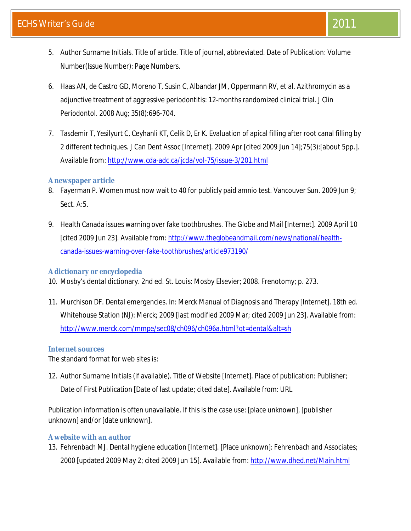- 5. Author Surname Initials. Title of article. Title of journal, abbreviated. Date of Publication: Volume Number(Issue Number): Page Numbers.
- 6. Haas AN, de Castro GD, Moreno T, Susin C, Albandar JM, Oppermann RV, et al. Azithromycin as a adjunctive treatment of aggressive periodontitis: 12-months randomized clinical trial. J Clin Periodontol. 2008 Aug; 35(8):696-704.
- 7. Tasdemir T, Yesilyurt C, Ceyhanli KT, Celik D, Er K. Evaluation of apical filling after root canal filling by 2 different techniques. J Can Dent Assoc [Internet]. 2009 Apr [cited 2009 Jun 14];75(3):[about 5pp.]. Available from: http://www.cda-adc.ca/jcda/vol-75/issue-3/201.html

## *A newspaper article*

- 8. Fayerman P. Women must now wait to 40 for publicly paid amnio test. Vancouver Sun. 2009 Jun 9; Sect. A:5.
- 9. Health Canada issues warning over fake toothbrushes. The Globe and Mail [Internet]. 2009 April 10 [cited 2009 Jun 23]. Available from: http://www.theglobeandmail.com/news/national/healthcanada-issues-warning-over-fake-toothbrushes/article973190/

# *A dictionary or encyclopedia*

- 10. Mosby's dental dictionary. 2nd ed. St. Louis: Mosby Elsevier; 2008. Frenotomy; p. 273.
- 11. Murchison DF. Dental emergencies. In: Merck Manual of Diagnosis and Therapy [Internet]. 18th ed. Whitehouse Station (NJ): Merck; 2009 [last modified 2009 Mar; cited 2009 Jun 23]. Available from: http://www.merck.com/mmpe/sec08/ch096/ch096a.html?qt=dental&alt=sh

# **Internet sources**

The standard format for web sites is:

12. Author Surname Initials (if available). Title of Website [Internet]. Place of publication: Publisher; Date of First Publication [Date of last update; cited date]. Available from: URL

Publication information is often unavailable. If this is the case use: [place unknown], [publisher unknown] and/or [date unknown].

# *A website with an author*

13. Fehrenbach MJ. Dental hygiene education [Internet]. [Place unknown]: Fehrenbach and Associates; 2000 [updated 2009 May 2; cited 2009 Jun 15]. Available from: http://www.dhed.net/Main.html